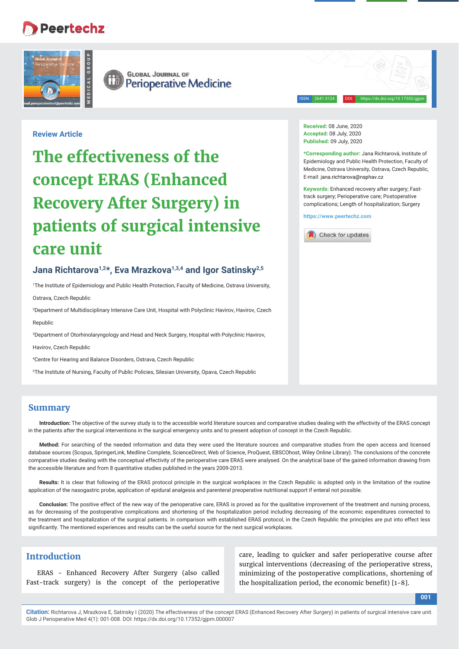# **Peertechz**



**GLOBAL JOURNAL OF** (ii) **Perioperative Medicine** 

ISSN: 2641-3124 DOI: https://dx.doi.org/10.17352/gjpm

### **Review Article**

# **The effectiveness of the concept ERAS (Enhanced Recovery After Surgery) in patients of surgical intensive care unit**

# Jana Richtarova<sup>1,2\*</sup>, Eva Mrazkova<sup>1,3,4</sup> and lgor Satinsky<sup>2,5</sup>

1 The Institute of Epidemiology and Public Health Protection, Faculty of Medicine, Ostrava University, Ostrava, Czech Republic

2 Department of Multidisciplinary Intensive Care Unit, Hospital with Polyclinic Havirov, Havirov, Czech Republic

3 Department of Otorhinolaryngology and Head and Neck Surgery, Hospital with Polyclinic Havirov,

Havirov, Czech Republic

4 Centre for Hearing and Balance Disorders, Ostrava, Czech Republic

5 The Institute of Nursing, Faculty of Public Policies, Silesian University, Opava, Czech Republic

# **Summary**

**Introduction:** The objective of the survey study is to the accessible world literature sources and comparative studies dealing with the effectivity of the ERAS concept in the patients after the surgical interventions in the surgical emergency units and to present adoption of concept in the Czech Republic.

**Method:** For searching of the needed information and data they were used the literature sources and comparative studies from the open access and licensed database sources (Scopus, SpringerLink, Medline Complete, ScienceDirect, Web of Science, ProQuest, EBSCOhost, Wiley Online Library). The conclusions of the concrete comparative studies dealing with the conceptual effectivity of the perioperative care ERAS were analysed. On the analytical base of the gained information drawing from the accessible literature and from 8 quantitative studies published in the years 2009-2013.

**Results:** It is clear that following of the ERAS protocol principle in the surgical workplaces in the Czech Republic is adopted only in the limitation of the routine application of the nasogastric probe, application of epidural analgesia and parenteral preoperative nutritional support if enteral not possible.

**Conclusion:** The positive effect of the new way of the perioperative care, ERAS is proved as for the qualitative improvement of the treatment and nursing process, as for decreasing of the postoperative complications and shortening of the hospitalization period including decreasing of the economic expenditures connected to the treatment and hospitalization of the surgical patients. In comparison with established ERAS protocol, in the Czech Republic the principles are put into effect less significantly. The mentioned experiences and results can be the useful source for the next surgical workplaces.

# **Introduction**

ERAS - Enhanced Recovery After Surgery (also called Fast-track surgery) is the concept of the perioperative

care, leading to quicker and safer perioperative course after surgical interventions (decreasing of the perioperative stress, minimizing of the postoperative complications, shortening of the hospitalization period, the economic benefit)  $[1-8]$ .

**Received:** 08 June, 2020 **Accepted:** 08 July, 2020 **Published:** 09 July, 2020

**\*Corresponding author:** Jana Richtarová, Institute of Epidemiology and Public Health Protection, Faculty of Medicine, Ostrava University, Ostrava, Czech Republic, E-mail: jana.richtarova@nsphav.cz

**Keywords:** Enhanced recovery after surgery; Fasttrack surgery; Perioperative care; Postoperative complications; Length of hospitalization; Surgery

**https://www.peertechz.com**

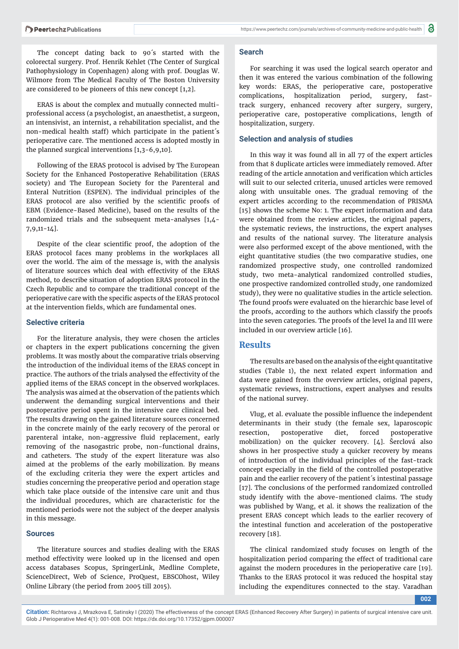The concept dating back to 90´s started with the colorectal surgery. Prof. Henrik Kehlet (The Center of Surgical Pathophysiology in Copenhagen) along with prof. Douglas W. Wilmore from The Medical Faculty of The Boston University are considered to be pioneers of this new concept [1,2].

ERAS is about the complex and mutually connected multiprofessional access (a psychologist, an anaesthetist, a surgeon, an intensivist, an internist, a rehabilitation specialist, and the non-medical health staff) which participate in the patient´s perioperative care. The mentioned access is adopted mostly in the planned surgical interventions [1,3-6,9,10].

Following of the ERAS protocol is advised by The European Society for the Enhanced Postoperative Rehabilitation (ERAS society) and The European Society for the Parenteral and Enteral Nutrition (ESPEN). The individual principles of the ERAS protocol are also verified by the scientific proofs of EBM (Evidence-Based Medicine), based on the results of the randomized trials and the subsequent meta-analyses [1,4- 7,9,11-14].

Despite of the clear scientific proof, the adoption of the ERAS protocol faces many problems in the workplaces all over the world. The aim of the message is, with the analysis of literature sources which deal with effectivity of the ERAS method, to describe situation of adoption ERAS protocol in the Czech Republic and to compare the traditional concept of the perioperative care with the specific aspects of the ERAS protocol at the intervention fields, which are fundamental ones.

#### **Selective criteria**

For the literature analysis, they were chosen the articles or chapters in the expert publications concerning the given problems. It was mostly about the comparative trials observing the introduction of the individual items of the ERAS concept in practice. The authors of the trials analysed the effectivity of the applied items of the ERAS concept in the observed workplaces. The analysis was aimed at the observation of the patients which underwent the demanding surgical interventions and their postoperative period spent in the intensive care clinical bed. The results drawing on the gained literature sources concerned in the concrete mainly of the early recovery of the peroral or parenteral intake, non-aggressive fluid replacement, early removing of the nasogastric probe, non-functional drains, and catheters. The study of the expert literature was also aimed at the problems of the early mobilization. By means of the excluding criteria they were the expert articles and studies concerning the preoperative period and operation stage which take place outside of the intensive care unit and thus the individual procedures, which are characteristic for the mentioned periods were not the subject of the deeper analysis in this message.

#### **Sources**

The literature sources and studies dealing with the ERAS method effectivity were looked up in the licensed and open access databases Scopus, SpringerLink, Medline Complete, ScienceDirect, Web of Science, ProQuest, EBSCOhost, Wiley Online Library (the period from 2005 till 2015).

#### **Search**

For searching it was used the logical search operator and then it was entered the various combination of the following key words: ERAS, the perioperative care, postoperative complications, hospitalization period, surgery, fasttrack surgery, enhanced recovery after surgery, surgery, perioperative care, postoperative complications, length of hospitalization, surgery.

#### **Selection and analysis of studies**

In this way it was found all in all 77 of the expert articles from that 8 duplicate articles were immediately removed. After reading of the article annotation and verification which articles will suit to our selected criteria, unused articles were removed along with unsuitable ones. The gradual removing of the expert articles according to the recommendation of PRISMA [15] shows the scheme No: 1. The expert information and data were obtained from the review articles, the original papers, the systematic reviews, the instructions, the expert analyses and results of the national survey. The literature analysis were also performed except of the above mentioned, with the eight quantitative studies (the two comparative studies, one randomized prospective study, one controlled randomized study, two meta-analytical randomized controlled studies, one prospective randomized controlled study, one randomized study), they were no qualitative studies in the article selection. The found proofs were evaluated on the hierarchic base level of the proofs, according to the authors which classify the proofs into the seven categories. The proofs of the level Ia and III were included in our overview article [16].

#### **Results**

The results are based on the analysis of the eight quantitative studies (Table 1), the next related expert information and data were gained from the overview articles, original papers, systematic reviews, instructions, expert analyses and results of the national survey.

Vlug, et al. evaluate the possible influence the independent determinants in their study (the female sex, laparoscopic resection, postoperative diet, forced postoperative mobilization) on the quicker recovery. [4]. Šerclová also shows in her prospective study a quicker recovery by means of introduction of the individual principles of the fast-track concept especially in the field of the controlled postoperative pain and the earlier recovery of the patient´s intestinal passage [17]. The conclusions of the performed randomized controlled study identify with the above-mentioned claims. The study was published by Wang, et al. it shows the realization of the present ERAS concept which leads to the earlier recovery of the intestinal function and acceleration of the postoperative recovery [18].

The clinical randomized study focuses on length of the hospitalization period comparing the effect of traditional care against the modern procedures in the perioperative care [19]. Thanks to the ERAS protocol it was reduced the hospital stay including the expenditures connected to the stay. Varadhan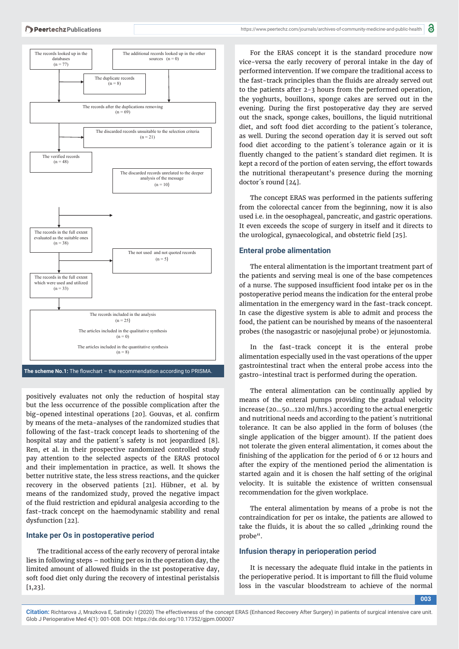

The scheme No.1: The flowchart - the recommendation according to PRISMA.

positively evaluates not only the reduction of hospital stay but the less occurrence of the possible complication after the big-opened intestinal operations [20]. Gouvas, et al. confirm by means of the meta-analyses of the randomized studies that following of the fast-track concept leads to shortening of the hospital stay and the patient's safety is not jeopardized [8]. Ren, et al. in their prospective randomized controlled study pay attention to the selected aspects of the ERAS protocol and their implementation in practice, as well. It shows the better nutritive state, the less stress reactions, and the quicker recovery in the observed patients [21]. Hübner, et al. by means of the randomized study, proved the negative impact of the fluid restriction and epidural analgesia according to the fast-track concept on the haemodynamic stability and renal dysfunction [22].

#### **Intake per Os in postoperative period**

The traditional access of the early recovery of peroral intake lies in following steps – nothing per os in the operation day, the limited amount of allowed fluids in the 1st postoperative day, soft food diet only during the recovery of intestinal peristalsis [1,23].

For the ERAS concept it is the standard procedure now vice-versa the early recovery of peroral intake in the day of performed intervention. If we compare the traditional access to the fast-track principles than the fluids are already served out to the patients after 2-3 hours from the performed operation, the yoghurts, bouillons, sponge cakes are served out in the evening. During the first postoperative day they are served out the snack, sponge cakes, bouillons, the liquid nutritional diet, and soft food diet according to the patient´s tolerance, as well. During the second operation day it is served out soft food diet according to the patient´s tolerance again or it is fluently changed to the patient's standard diet regimen. It is kept a record of the portion of eaten serving, the effort towards the nutritional therapeutant's presence during the morning doctor´s round [24].

The concept ERAS was performed in the patients suffering from the colorectal cancer from the beginning, now it is also used i.e. in the oesophageal, pancreatic, and gastric operations. It even exceeds the scope of surgery in itself and it directs to the urological, gynaecological, and obstetric field [25].

#### **Enteral probe alimentation**

The enteral alimentation is the important treatment part of the patients and serving meal is one of the base competences of a nurse. The supposed insufficient food intake per os in the postoperative period means the indication for the enteral probe alimentation in the emergency ward in the fast-track concept. In case the digestive system is able to admit and process the food, the patient can be nourished by means of the nasoenteral probes (the nasogastric or nasojejunal probe) or jejunostomia.

In the fast-track concept it is the enteral probe alimentation especially used in the vast operations of the upper gastrointestinal tract when the enteral probe access into the gastro-intestinal tract is performed during the operation.

The enteral alimentation can be continually applied by means of the enteral pumps providing the gradual velocity increase (20…50…120 ml/hrs.) according to the actual energetic and nutritional needs and according to the patient´s nutritional tolerance. It can be also applied in the form of boluses (the single application of the bigger amount). If the patient does not tolerate the given enteral alimentation, it comes about the finishing of the application for the period of 6 or 12 hours and after the expiry of the mentioned period the alimentation is started again and it is chosen the half setting of the original velocity. It is suitable the existence of written consensual recommendation for the given workplace.

The enteral alimentation by means of a probe is not the contraindication for per os intake, the patients are allowed to take the fluids, it is about the so called "drinking round the probe".

#### **Infusion therapy in perioperation period**

It is necessary the adequate fluid intake in the patients in the perioperative period. It is important to fill the fluid volume loss in the vascular bloodstream to achieve of the normal

**003**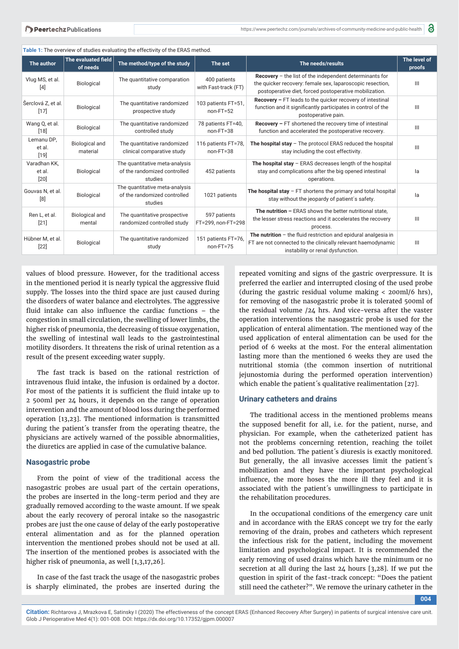| Table 1: The overview of studies evaluating the effectivity of the ERAS method. |                                   |                                                                           |                                      |                                                                                                                                                                                         |                                    |  |  |
|---------------------------------------------------------------------------------|-----------------------------------|---------------------------------------------------------------------------|--------------------------------------|-----------------------------------------------------------------------------------------------------------------------------------------------------------------------------------------|------------------------------------|--|--|
| The author                                                                      | The evaluated field<br>of needs   | The method/type of the study                                              | The set                              | The needs/results                                                                                                                                                                       | The level of<br>proofs             |  |  |
| Vlug MS, et al.<br>$[4]$                                                        | Biological                        | The quantitative comparation<br>study                                     | 400 patients<br>with Fast-track (FT) | <b>Recovery</b> $-$ the list of the independent determinants for<br>the quicker recovery: female sex, laparoscopic resection,<br>postoperative diet, forced postoperative mobilization. | III                                |  |  |
| Šerclová Z, et al.<br>$[17]$                                                    | Biological                        | The quantitative randomized<br>prospective study                          | 103 patients FT=51,<br>$non-FT=52$   | Recovery - FT leads to the quicker recovery of intestinal<br>function and it significantly participates in control of the<br>postoperative pain.                                        | III                                |  |  |
| Wang Q, et al.<br>$[18]$                                                        | Biological                        | The quantitative randomized<br>controlled study                           | 78 patients FT=40.<br>$non-FT=38$    | Recovery - FT shortened the recovery time of intestinal<br>function and accelerated the postoperative recovery.                                                                         | III                                |  |  |
| Lemanu DP,<br>et al.<br>$[19]$                                                  | <b>Biological and</b><br>material | The quantitative randomized<br>clinical comparative study                 | 116 patients FT=78.<br>$non-FT=38$   | The hospital stay - The protocol ERAS reduced the hospital<br>stay including the cost effectivity.                                                                                      | III                                |  |  |
| Varadhan KK,<br>et al.<br>$[20]$                                                | Biological                        | The quantitative meta-analysis<br>of the randomized controlled<br>studies | 452 patients                         | The hospital stay $-$ ERAS decreases length of the hospital<br>stay and complications after the big opened intestinal<br>operations.                                                    | la                                 |  |  |
| Gouvas N, et al.<br>[8]                                                         | Biological                        | The quantitative meta-analysis<br>of the randomized controlled<br>studies | 1021 patients                        | The hospital stay $-$ FT shortens the primary and total hospital<br>stay without the jeopardy of patient's safety.                                                                      | la                                 |  |  |
| Ren L, et al.<br>$[21]$                                                         | <b>Biological and</b><br>mental   | The quantitative prospective<br>randomized controlled study               | 597 patients<br>FT=299, non-FT=298   | The nutrition - ERAS shows the better nutritional state.<br>the lesser stress reactions and it accelerates the recovery<br>process.                                                     | III                                |  |  |
| Hübner M, et al.<br>$[22]$                                                      | Biological                        | The quantitative randomized<br>study                                      | 151 patients FT=76,<br>$non-FT=75$   | The nutrition $-$ the fluid restriction and epidural analgesia in<br>FT are not connected to the clinically relevant haemodynamic<br>instability or renal dysfunction.                  | $\ensuremath{\mathsf{III}}\xspace$ |  |  |

values of blood pressure. However, for the traditional access in the mentioned period it is nearly typical the aggressive fluid supply. The losses into the third space are just caused during the disorders of water balance and electrolytes. The aggressive fluid intake can also influence the cardiac functions  $-$  the congestion in small circulation, the swelling of lower limbs, the higher risk of pneumonia, the decreasing of tissue oxygenation, the swelling of intestinal wall leads to the gastrointestinal motility disorders. It threatens the risk of urinal retention as a result of the present exceeding water supply.

The fast track is based on the rational restriction of intravenous fluid intake, the infusion is ordained by a doctor. For most of the patients it is sufficient the fluid intake up to 2 500ml per 24 hours, it depends on the range of operation intervention and the amount of blood loss during the performed operation [13,23]. The mentioned information is transmitted during the patient´s transfer from the operating theatre, the physicians are actively warned of the possible abnormalities, the diuretics are applied in case of the cumulative balance.

#### **Nasogastric probe**

From the point of view of the traditional access the nasogastric probes are usual part of the certain operations, the probes are inserted in the long-term period and they are gradually removed according to the waste amount. If we speak about the early recovery of peroral intake so the nasogastric probes are just the one cause of delay of the early postoperative enteral alimentation and as for the planned operation intervention the mentioned probes should not be used at all. The insertion of the mentioned probes is associated with the higher risk of pneumonia, as well [1,3,17,26].

In case of the fast track the usage of the nasogastric probes is sharply eliminated, the probes are inserted during the

repeated vomiting and signs of the gastric overpressure. It is preferred the earlier and interrupted closing of the used probe (during the gastric residual volume making < 200ml/6 hrs), for removing of the nasogastric probe it is tolerated 500ml of the residual volume /24 hrs. And vice-versa after the vaster operation interventions the nasogastric probe is used for the application of enteral alimentation. The mentioned way of the used application of enteral alimentation can be used for the period of 6 weeks at the most. For the enteral alimentation lasting more than the mentioned 6 weeks they are used the nutritional stomia (the common insertion of nutritional jejunostomia during the performed operation intervention) which enable the patient´s qualitative realimentation [27].

#### **Urinary catheters and drains**

The traditional access in the mentioned problems means the supposed benefit for all, i.e. for the patient, nurse, and physician. For example, when the catheterized patient has not the problems concerning retention, reaching the toilet and bed pollution. The patient´s diuresis is exactly monitored. But generally, the all invasive accesses limit the patient´s mobilization and they have the important psychological influence, the more hoses the more ill they feel and it is associated with the patient´s unwillingness to participate in the rehabilitation procedures.

In the occupational conditions of the emergency care unit and in accordance with the ERAS concept we try for the early removing of the drain, probes and catheters which represent the infectious risk for the patient, including the movement limitation and psychological impact. It is recommended the early removing of used drains which have the minimum or no secretion at all during the last 24 hours [3,28]. If we put the question in spirit of the fast-track concept: "Does the patient still need the catheter?". We remove the urinary catheter in the

**004**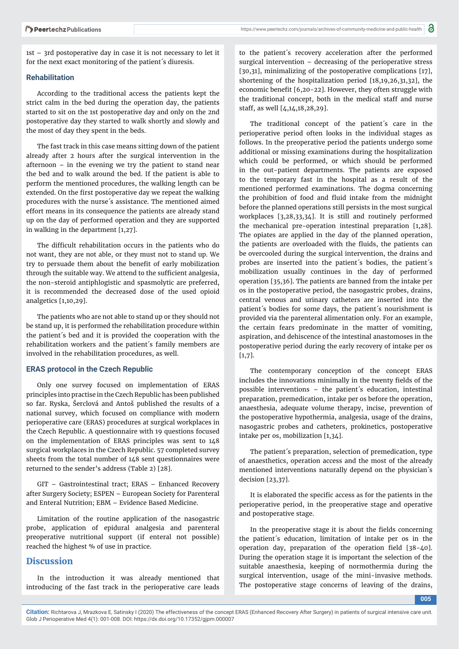1st – 3rd postoperative day in case it is not necessary to let it for the next exact monitoring of the patient´s diuresis.

#### **Rehabilitation**

According to the traditional access the patients kept the strict calm in the bed during the operation day, the patients started to sit on the 1st postoperative day and only on the 2nd postoperative day they started to walk shortly and slowly and the most of day they spent in the beds.

The fast track in this case means sitting down of the patient already after 2 hours after the surgical intervention in the afternoon – in the evening we try the patient to stand near the bed and to walk around the bed. If the patient is able to perform the mentioned procedures, the walking length can be extended. On the first postoperative day we repeat the walking procedures with the nurse´s assistance. The mentioned aimed effort means in its consequence the patients are already stand up on the day of performed operation and they are supported in walking in the department [1,27].

The difficult rehabilitation occurs in the patients who do not want, they are not able, or they must not to stand up. We try to persuade them about the benefit of early mobilization through the suitable way. We attend to the sufficient analgesia, the non-steroid antiphlogistic and spasmolytic are preferred, it is recommended the decreased dose of the used opioid analgetics [1,10,29].

The patients who are not able to stand up or they should not be stand up, it is performed the rehabilitation procedure within the patient´s bed and it is provided the cooperation with the rehabilitation workers and the patient´s family members are involved in the rehabilitation procedures, as well.

#### **ERAS protocol in the Czech Republic**

Only one survey focused on implementation of ERAS principles into practise in the Czech Republic has been published so far. Ryska, Šerclová and Antoš published the results of a national survey, which focused on compliance with modern perioperative care (ERAS) procedures at surgical workplaces in the Czech Republic. A questionnaire with 19 questions focused on the implementation of ERAS principles was sent to 148 surgical workplaces in the Czech Republic. 57 completed survey sheets from the total number of 148 sent questionnaires were returned to the sender's address (Table 2) [28].

GIT – Gastrointestinal tract; ERAS – Enhanced Recovery after Surgery Society; ESPEN – European Society for Parenteral and Enteral Nutrition; EBM – Evidence Based Medicine.

Limitation of the routine application of the nasogastric probe, application of epidural analgesia and parenteral preoperative nutritional support (if enteral not possible) reached the highest % of use in practice.

# **Discussion**

In the introduction it was already mentioned that introducing of the fast track in the perioperative care leads

to the patient´s recovery acceleration after the performed surgical intervention – decreasing of the perioperative stress [30,31], minimalizing of the postoperative complications [17], shortening of the hospitalization period [18,19,26,31,32], the economic benefit  $[6,20-22]$ . However, they often struggle with the traditional concept, both in the medical staff and nurse staff, as well [4,14,18,28,29].

The traditional concept of the patient´s care in the perioperative period often looks in the individual stages as follows. In the preoperative period the patients undergo some additional or missing examinations during the hospitalization which could be performed, or which should be performed in the out-patient departments. The patients are exposed to the temporary fast in the hospital as a result of the mentioned performed examinations. The dogma concerning the prohibition of food and fluid intake from the midnight before the planned operations still persists in the most surgical workplaces [3,28,33,34]. It is still and routinely performed the mechanical pre-operation intestinal preparation [1,28]. The opiates are applied in the day of the planned operation, the patients are overloaded with the fluids, the patients can be overcooled during the surgical intervention, the drains and probes are inserted into the patient´s bodies, the patient´s mobilization usually continues in the day of performed operation [35,36]. The patients are banned from the intake per os in the postoperative period, the nasogastric probes, drains, central venous and urinary catheters are inserted into the patient´s bodies for some days, the patient´s nourishment is provided via the parenteral alimentation only. For an example, the certain fears predominate in the matter of vomiting, aspiration, and dehiscence of the intestinal anastomoses in the postoperative period during the early recovery of intake per os [1,7].

The contemporary conception of the concept ERAS includes the innovations minimally in the twenty fields of the possible interventions – the patient´s education, intestinal preparation, premedication, intake per os before the operation, anaesthesia, adequate volume therapy, incise, prevention of the postoperative hypothermia, analgesia, usage of the drains, nasogastric probes and catheters, prokinetics, postoperative intake per os, mobilization [1,34].

The patient´s preparation, selection of premedication, type of anaesthetics, operation access and the most of the already mentioned interventions naturally depend on the physician´s decision [23,37].

It is elaborated the specific access as for the patients in the perioperative period, in the preoperative stage and operative and postoperative stage.

In the preoperative stage it is about the fields concerning the patient´s education, limitation of intake per os in the operation day, preparation of the operation field  $[38-40]$ . During the operation stage it is important the selection of the suitable anaesthesia, keeping of normothermia during the surgical intervention, usage of the mini-invasive methods. The postoperative stage concerns of leaving of the drains,

**005**

**Citation:** Richtarova J, Mrazkova E, Satinsky I (2020) The effectiveness of the concept ERAS (Enhanced Recovery After Surgery) in patients of surgical intensive care unit. Glob J Perioperative Med 4(1): 001-008. DOI: https://dx.doi.org/10.17352/gjpm.000007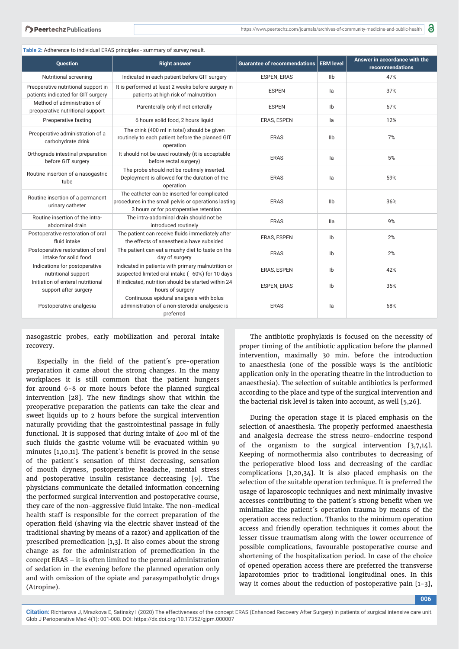| Table 2: Adherence to individual ERAS principles - summary of survey result.                                                          |                                                                                                                                                |                                          |                |                                                  |  |  |  |  |
|---------------------------------------------------------------------------------------------------------------------------------------|------------------------------------------------------------------------------------------------------------------------------------------------|------------------------------------------|----------------|--------------------------------------------------|--|--|--|--|
| <b>Question</b>                                                                                                                       | <b>Right answer</b>                                                                                                                            | Guarantee of recommendations   EBM level |                | Answer in accordance with the<br>recommendations |  |  |  |  |
| Nutritional screening                                                                                                                 | Indicated in each patient before GIT surgery                                                                                                   | <b>ESPEN, ERAS</b>                       | llb            | 47%                                              |  |  |  |  |
| Preoperative nutritional support in<br>patients indicated for GIT surgery                                                             | It is performed at least 2 weeks before surgery in<br>patients at high risk of malnutrition                                                    | <b>ESPEN</b>                             | la             | 37%                                              |  |  |  |  |
| Method of administration of<br>preoperative nutritional support                                                                       | Parenterally only if not enterally                                                                                                             | <b>ESPEN</b>                             | Ib             | 67%                                              |  |  |  |  |
| Preoperative fasting                                                                                                                  | 6 hours solid food, 2 hours liquid                                                                                                             | <b>ERAS, ESPEN</b>                       | la             | 12%                                              |  |  |  |  |
| Preoperative administration of a<br>carbohydrate drink                                                                                | The drink (400 ml in total) should be given<br>routinely to each patient before the planned GIT<br>operation                                   | <b>ERAS</b>                              | IIb            | 7%                                               |  |  |  |  |
| Orthograde intestinal preparation<br>before GIT surgery                                                                               | It should not be used routinely (it is acceptable<br>before rectal surgery)                                                                    | <b>ERAS</b>                              | la             | 5%                                               |  |  |  |  |
| Routine insertion of a nasogastric<br>tube                                                                                            | The probe should not be routinely inserted.<br>Deployment is allowed for the duration of the<br>operation                                      | <b>ERAS</b>                              | la             | 59%                                              |  |  |  |  |
| Routine insertion of a permanent<br>urinary catheter                                                                                  | The catheter can be inserted for complicated<br>procedures in the small pelvis or operations lasting<br>3 hours or for postoperative retention | <b>ERAS</b>                              | IIb            | 36%                                              |  |  |  |  |
| Routine insertion of the intra-<br>abdominal drain                                                                                    | The intra-abdominal drain should not be<br>introduced routinely                                                                                | <b>ERAS</b>                              | lla            | 9%                                               |  |  |  |  |
| Postoperative restoration of oral<br>fluid intake                                                                                     | The patient can receive fluids immediately after<br>the effects of anaesthesia have subsided                                                   | ERAS, ESPEN                              | I <sub>b</sub> | 2%                                               |  |  |  |  |
| Postoperative restoration of oral<br>intake for solid food                                                                            | The patient can eat a mushy diet to taste on the<br>day of surgery                                                                             | <b>ERAS</b>                              | Ib             | 2%                                               |  |  |  |  |
| Indications for postoperative<br>nutritional support                                                                                  | Indicated in patients with primary malnutrition or<br>suspected limited oral intake (60%) for 10 days                                          |                                          | Ib             | 42%                                              |  |  |  |  |
| Initiation of enteral nutritional<br>If indicated, nutrition should be started within 24<br>support after surgery<br>hours of surgery |                                                                                                                                                | <b>ESPEN, ERAS</b>                       | I <sub>b</sub> | 35%                                              |  |  |  |  |
| Postoperative analgesia                                                                                                               | Continuous epidural analgesia with bolus<br>administration of a non-steroidal analgesic is<br>preferred                                        | <b>ERAS</b>                              | la             | 68%                                              |  |  |  |  |

nasogastric probes, early mobilization and peroral intake recovery.

Especially in the field of the patient's pre-operation preparation it came about the strong changes. In the many workplaces it is still common that the patient hungers for around 6-8 or more hours before the planned surgical intervention [28]. The new findings show that within the preoperative preparation the patients can take the clear and sweet liquids up to 2 hours before the surgical intervention naturally providing that the gastrointestinal passage in fully functional. It is supposed that during intake of 400 ml of the such fluids the gastric volume will be evacuated within 90 minutes  $[1,10,11]$ . The patient's benefit is proved in the sense of the patient´s sensation of thirst decreasing, sensation of mouth dryness, postoperative headache, mental stress and postoperative insulin resistance decreasing [9]. The physicians communicate the detailed information concerning the performed surgical intervention and postoperative course, they care of the non-aggressive fluid intake. The non-medical health staff is responsible for the correct preparation of the operation field (shaving via the electric shaver instead of the traditional shaving by means of a razor) and application of the prescribed premedication [1,3]. It also comes about the strong change as for the administration of premedication in the concept ERAS – it is often limited to the peroral administration of sedation in the evening before the planned operation only and with omission of the opiate and parasympatholytic drugs (Atropine).

The antibiotic prophylaxis is focused on the necessity of proper timing of the antibiotic application before the planned intervention, maximally 30 min. before the introduction to anaesthesia (one of the possible ways is the antibiotic application only in the operating theatre in the introduction to anaesthesia). The selection of suitable antibiotics is performed according to the place and type of the surgical intervention and the bacterial risk level is taken into account, as well [5,26].

During the operation stage it is placed emphasis on the selection of anaesthesia. The properly performed anaesthesia and analgesia decrease the stress neuro-endocrine respond of the organism to the surgical intervention [3,7,14]. Keeping of normothermia also contributes to decreasing of the perioperative blood loss and decreasing of the cardiac complications [1,20,34]. It is also placed emphasis on the selection of the suitable operation technique. It is preferred the usage of laparoscopic techniques and next minimally invasive accesses contributing to the patient's strong benefit when we minimalize the patient´s operation trauma by means of the operation access reduction. Thanks to the minimum operation access and friendly operation techniques it comes about the lesser tissue traumatism along with the lower occurrence of possible complications, favourable postoperative course and shortening of the hospitalization period. In case of the choice of opened operation access there are preferred the transverse laparotomies prior to traditional longitudinal ones. In this way it comes about the reduction of postoperative pain [1-3],

**006**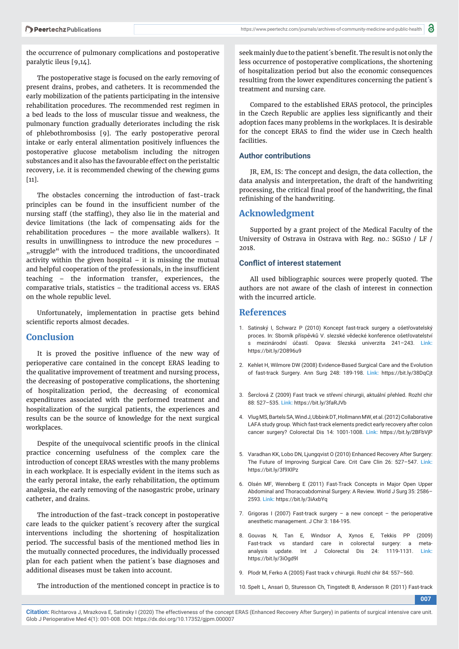the occurrence of pulmonary complications and postoperative paralytic ileus [9,14].

The postoperative stage is focused on the early removing of present drains, probes, and catheters. It is recommended the early mobilization of the patients participating in the intensive rehabilitation procedures. The recommended rest regimen in a bed leads to the loss of muscular tissue and weakness, the pulmonary function gradually deteriorates including the risk of phlebothrombosiss [9]. The early postoperative peroral intake or early enteral alimentation positively influences the postoperative glucose metabolism including the nitrogen substances and it also has the favourable effect on the peristaltic recovery, i.e. it is recommended chewing of the chewing gums [11].

The obstacles concerning the introduction of fast-track principles can be found in the insufficient number of the nursing staff (the staffing), they also lie in the material and device limitations (the lack of compensating aids for the rehabilitation procedures – the more available walkers). It results in unwillingness to introduce the new procedures – "struggle" with the introduced traditions, the uncoordinated activity within the given hospital  $-$  it is missing the mutual and helpful cooperation of the professionals, in the insufficient teaching – the information transfer, experiences, the comparative trials, statistics – the traditional access vs. ERAS on the whole republic level.

Unfortunately, implementation in practise gets behind scientific reports almost decades.

#### **Conclusion**

It is proved the positive influence of the new way of perioperative care contained in the concept ERAS leading to the qualitative improvement of treatment and nursing process, the decreasing of postoperative complications, the shortening of hospitalization period, the decreasing of economical expenditures associated with the performed treatment and hospitalization of the surgical patients, the experiences and results can be the source of knowledge for the next surgical workplaces.

Despite of the unequivocal scientific proofs in the clinical practice concerning usefulness of the complex care the introduction of concept ERAS wrestles with the many problems in each workplace. It is especially evident in the items such as the early peroral intake, the early rehabilitation, the optimum analgesia, the early removing of the nasogastric probe, urinary catheter, and drains.

The introduction of the fast-track concept in postoperative care leads to the quicker patient´s recovery after the surgical interventions including the shortening of hospitalization period. The successful basis of the mentioned method lies in the mutually connected procedures, the individually processed plan for each patient when the patient´s base diagnoses and additional diseases must be taken into account.

The introduction of the mentioned concept in practice is to

seek mainly due to the patient's benefit. The result is not only the less occurrence of postoperative complications, the shortening of hospitalization period but also the economic consequences resulting from the lower expenditures concerning the patient´s treatment and nursing care.

Compared to the established ERAS protocol, the principles in the Czech Republic are applies less significantly and their adoption faces many problems in the workplaces. It is desirable for the concept ERAS to find the wider use in Czech health facilities.

#### **Author contributions**

JR, EM, IS: The concept and design, the data collection, the data analysis and interpretation, the draft of the handwriting processing, the critical final proof of the handwriting, the final refinishing of the handwriting.

#### **Acknowledgment**

Supported by a grant project of the Medical Faculty of the University of Ostrava in Ostrava with Reg. no.: SGS10 / LF / 2018.

#### **Conflict of interest statement**

All used bibliographic sources were properly quoted. The authors are not aware of the clash of interest in connection with the incurred article.

#### **References**

- 1. Satinský I, Schwarz P (2010) Koncept fast-track surgery a ošetřovatelský proces. In: Sborník příspěvků V. slezské vědecké konference ošetřovatelství s mezinárodní účastí. Opava: Slezská univerzita 241–243. **Link:** https://bit.ly/2O896u9
- 2. Kehlet H, Wilmore DW (2008) Evidence-Based Surgical Care and the Evolution of fast-track Surgery. Ann Surg 248: 189-198. **Link:** https://bit.ly/38DqCjt
- 3. Šerclová Z (2009) Fast track ve střevní chirurgii, aktuální přehled. Rozhl chir 88: 527–535. **Link:** https://bit.ly/3faRJVb
- 4. Vlug MS, Bartels SA, Wind J, Ubbink DT, Hollmann MW, et al. (2012) Collaborative LAFA study group. Which fast-track elements predict early recovery after colon cancer surgery? Colorectal Dis 14: 1001-1008. **Link:** https://bit.ly/2BFbVjP
- 5. Varadhan KK, Lobo DN, Ljungqvist O (2010) Enhanced Recovery After Surgery: The Future of Improving Surgical Care. Crit Care Clin 26: 527–547. **Link:** https://bit.ly/3f9XlPz
- 6. Olsén MF, Wennberg E (2011) Fast-Track Concepts in Major Open Upper Abdominal and Thoracoabdominal Surgery: A Review. World J Surg 35: 2586– 2593. **Link:** https://bit.ly/3iAxbYq
- 7. Grigoras I (2007) Fast-track surgery a new concept the perioperative anesthetic management. J Chir 3: 184-195.
- 8. Gouvas N, Tan E, Windsor A, Xynos E, Tekkis PP (2009) Fast-track vs standard care in colorectal surgery: a metaanalysis update. Int J Colorectal Dis 24: 1119-1131. **Link:**  https://bit.ly/3iOgd9l
- 9. Plodr M, Ferko A (2005) Fast track v chirurgii. Rozhl chir 84: 557–560.
- 10. Spelt L, Ansari D, Sturesson Ch, Tingstedt B, Andersson R (2011) Fast-track

**007**